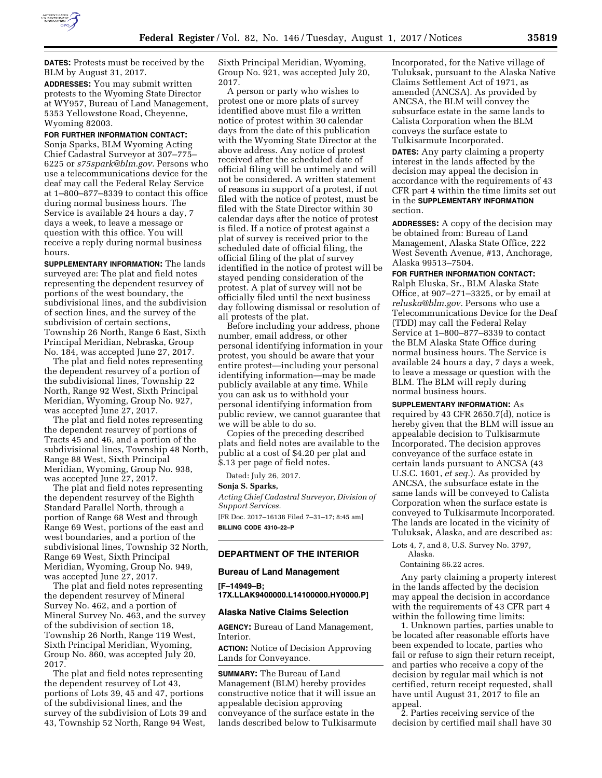

**DATES:** Protests must be received by the BLM by August 31, 2017.

**ADDRESSES:** You may submit written protests to the Wyoming State Director at WY957, Bureau of Land Management, 5353 Yellowstone Road, Cheyenne, Wyoming 82003.

# **FOR FURTHER INFORMATION CONTACT:**

Sonja Sparks, BLM Wyoming Acting Chief Cadastral Surveyor at 307–775– 6225 or *[s75spark@blm.gov.](mailto:s75spark@blm.gov)* Persons who use a telecommunications device for the deaf may call the Federal Relay Service at 1–800–877–8339 to contact this office during normal business hours. The Service is available 24 hours a day, 7 days a week, to leave a message or question with this office. You will receive a reply during normal business hours.

**SUPPLEMENTARY INFORMATION:** The lands surveyed are: The plat and field notes representing the dependent resurvey of portions of the west boundary, the subdivisional lines, and the subdivision of section lines, and the survey of the subdivision of certain sections, Township 26 North, Range 6 East, Sixth Principal Meridian, Nebraska, Group No. 184, was accepted June 27, 2017.

The plat and field notes representing the dependent resurvey of a portion of the subdivisional lines, Township 22 North, Range 92 West, Sixth Principal Meridian, Wyoming, Group No. 927, was accepted June 27, 2017.

The plat and field notes representing the dependent resurvey of portions of Tracts 45 and 46, and a portion of the subdivisional lines, Township 48 North, Range 88 West, Sixth Principal Meridian, Wyoming, Group No. 938, was accepted June 27, 2017.

The plat and field notes representing the dependent resurvey of the Eighth Standard Parallel North, through a portion of Range 68 West and through Range 69 West, portions of the east and west boundaries, and a portion of the subdivisional lines, Township 32 North, Range 69 West, Sixth Principal Meridian, Wyoming, Group No. 949, was accepted June 27, 2017.

The plat and field notes representing the dependent resurvey of Mineral Survey No. 462, and a portion of Mineral Survey No. 463, and the survey of the subdivision of section 18, Township 26 North, Range 119 West, Sixth Principal Meridian, Wyoming, Group No. 860, was accepted July 20, 2017.

The plat and field notes representing the dependent resurvey of Lot 43, portions of Lots 39, 45 and 47, portions of the subdivisional lines, and the survey of the subdivision of Lots 39 and 43, Township 52 North, Range 94 West,

Sixth Principal Meridian, Wyoming, Group No. 921, was accepted July 20, 2017.

A person or party who wishes to protest one or more plats of survey identified above must file a written notice of protest within 30 calendar days from the date of this publication with the Wyoming State Director at the above address. Any notice of protest received after the scheduled date of official filing will be untimely and will not be considered. A written statement of reasons in support of a protest, if not filed with the notice of protest, must be filed with the State Director within 30 calendar days after the notice of protest is filed. If a notice of protest against a plat of survey is received prior to the scheduled date of official filing, the official filing of the plat of survey identified in the notice of protest will be stayed pending consideration of the protest. A plat of survey will not be officially filed until the next business day following dismissal or resolution of all protests of the plat.

Before including your address, phone number, email address, or other personal identifying information in your protest, you should be aware that your entire protest—including your personal identifying information—may be made publicly available at any time. While you can ask us to withhold your personal identifying information from public review, we cannot guarantee that we will be able to do so.

Copies of the preceding described plats and field notes are available to the public at a cost of \$4.20 per plat and \$.13 per page of field notes.

Dated: July 26, 2017.

#### **Sonja S. Sparks,**

*Acting Chief Cadastral Surveyor, Division of Support Services.* 

[FR Doc. 2017–16138 Filed 7–31–17; 8:45 am] **BILLING CODE 4310–22–P** 

#### **DEPARTMENT OF THE INTERIOR**

#### **Bureau of Land Management**

**[F–14949–B; 17X.LLAK9400000.L14100000.HY0000.P]** 

#### **Alaska Native Claims Selection**

**AGENCY:** Bureau of Land Management, Interior.

**ACTION:** Notice of Decision Approving Lands for Conveyance.

**SUMMARY:** The Bureau of Land Management (BLM) hereby provides constructive notice that it will issue an appealable decision approving conveyance of the surface estate in the lands described below to Tulkisarmute

Incorporated, for the Native village of Tuluksak, pursuant to the Alaska Native Claims Settlement Act of 1971, as amended (ANCSA). As provided by ANCSA, the BLM will convey the subsurface estate in the same lands to Calista Corporation when the BLM conveys the surface estate to Tulkisarmute Incorporated.

**DATES:** Any party claiming a property interest in the lands affected by the decision may appeal the decision in accordance with the requirements of 43 CFR part 4 within the time limits set out in the **SUPPLEMENTARY INFORMATION** section.

**ADDRESSES:** A copy of the decision may be obtained from: Bureau of Land Management, Alaska State Office, 222 West Seventh Avenue, #13, Anchorage, Alaska 99513–7504.

**FOR FURTHER INFORMATION CONTACT:**  Ralph Eluska, Sr., BLM Alaska State Office, at 907–271–3325, or by email at *[reluska@blm.gov.](mailto:reluska@blm.gov)* Persons who use a Telecommunications Device for the Deaf (TDD) may call the Federal Relay Service at 1–800–877–8339 to contact the BLM Alaska State Office during normal business hours. The Service is available 24 hours a day, 7 days a week, to leave a message or question with the BLM. The BLM will reply during normal business hours.

**SUPPLEMENTARY INFORMATION:** As required by 43 CFR 2650.7(d), notice is hereby given that the BLM will issue an appealable decision to Tulkisarmute Incorporated. The decision approves conveyance of the surface estate in certain lands pursuant to ANCSA (43 U.S.C. 1601, *et seq.*). As provided by ANCSA, the subsurface estate in the same lands will be conveyed to Calista Corporation when the surface estate is conveyed to Tulkisarmute Incorporated. The lands are located in the vicinity of Tuluksak, Alaska, and are described as:

Lots 4, 7, and 8, U.S. Survey No. 3797, Alaska.

Containing 86.22 acres.

Any party claiming a property interest in the lands affected by the decision may appeal the decision in accordance with the requirements of 43 CFR part 4 within the following time limits:

1. Unknown parties, parties unable to be located after reasonable efforts have been expended to locate, parties who fail or refuse to sign their return receipt, and parties who receive a copy of the decision by regular mail which is not certified, return receipt requested, shall have until August 31, 2017 to file an appeal.

2. Parties receiving service of the decision by certified mail shall have 30